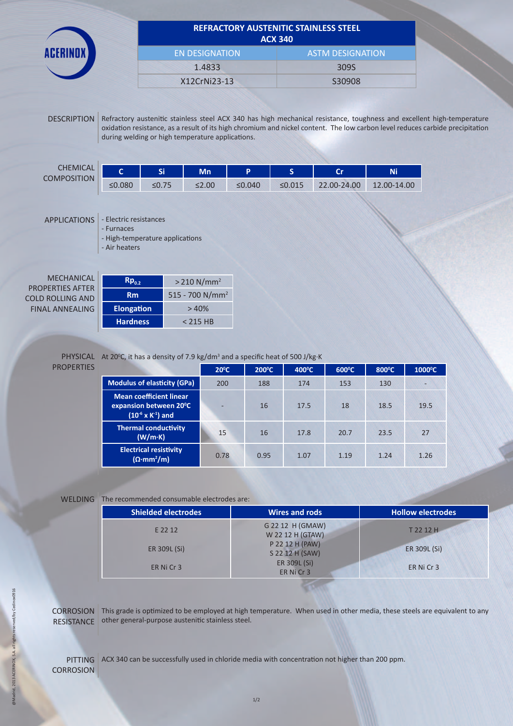

## **REFRACTORY AUSTENITIC STAINLESS STEEL ACX 340**

| ALA JTU               |                         |  |  |
|-----------------------|-------------------------|--|--|
| <b>EN DESIGNATION</b> | <b>ASTM DESIGNATION</b> |  |  |
| 1.4833                | 3095                    |  |  |
| X12CrNi23-13          | S30908                  |  |  |

DESCRIPTION Refractory austenitic stainless steel ACX 340 has high mechanical resistance, toughness and excellent high-temperature oxidation resistance, as a result of its high chromium and nickel content. The low carbon level reduces carbide precipitation during welding or high temperature applications.

| <b>CHEMICAL</b><br><b>COMPOSITION</b> |        | r:    | Mn          |        |        | <b>C-</b><br>- | Ni          |
|---------------------------------------|--------|-------|-------------|--------|--------|----------------|-------------|
|                                       | ≤0.080 | ≤0.75 | $\leq$ 2.00 | ≤0.040 | ≤0.015 | 22.00-24.00    | 12.00-14.00 |

APPLICATIONS - Electric resistances

- Furnaces
- High-temperature applications

- Air heaters

| MECHANICAL              |
|-------------------------|
| <b>PROPERTIES AFTER</b> |
| COLD ROLLING AND        |
| FINAL ANNFALING         |

| $Rp_{0,2}$        | $> 210$ N/mm <sup>2</sup>   |
|-------------------|-----------------------------|
| Rm                | 515 - 700 N/mm <sup>2</sup> |
| <b>Elongation</b> | >40%                        |
| <b>Hardness</b>   | $< 215$ HB                  |

## **PROPERTIES**

## PHYSICAL At 20<sup>o</sup>C, it has a density of 7.9 kg/dm<sup>3</sup> and a specific heat of 500 J/kg·K

|                                                                                           | $20^{\circ}$ C | $200^{\circ}$ C | $400^{\circ}$ C | $600^{\circ}$ C | $800^{\circ}$ C | $1000^{\circ}$ C |
|-------------------------------------------------------------------------------------------|----------------|-----------------|-----------------|-----------------|-----------------|------------------|
| <b>Modulus of elasticity (GPa)</b>                                                        | 200            | 188             | 174             | 153             | 130             |                  |
| <b>Mean coefficient linear</b><br>expansion between 20°C<br>$(10^{-6} \times K^{-1})$ and | -              | 16              | 17.5            | 18              | 18.5            | 19.5             |
| <b>Thermal conductivity</b><br>(W/m·K)                                                    | 15             | 16              | 17.8            | 20.7            | 23.5            | 27               |
| <b>Electrical resistivity</b><br>$(\Omega \cdot mm^2/m)$                                  | 0.78           | 0.95            | 1.07            | 1.19            | 1.24            | 1.26             |

WELDING The recommended consumable electrodes are:

| <b>Shielded electrodes</b> | <b>Wires and rods</b>                | <b>Hollow electrodes</b> |
|----------------------------|--------------------------------------|--------------------------|
| E 22 12                    | G 22 12 H (GMAW)<br>W 22 12 H (GTAW) | T 22 12 H                |
| ER 309L (Si)               | P 22 12 H (PAW)<br>S 22 12 H (SAW)   | ER 309L (Si)             |
| ER Ni Cr 3                 | ER 309L (Si)<br>ER Ni Cr 3           | ER Ni Cr 3               |

CORROSION This grade is optimized to be employed at high temperature. When used in other media, these steels are equivalent to any RESISTANCE other general-purpose austenitic stainless steel.

PITTING ACX 340 can be successfully used in chloride media with concentration not higher than 200 ppm.**CORROSION**